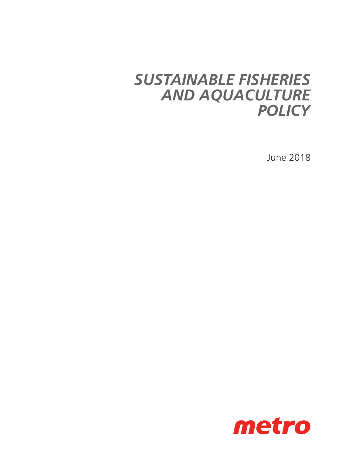## *SUSTAINABLE FISHERIES AND AQUACULTURE POLICY*

June 2018

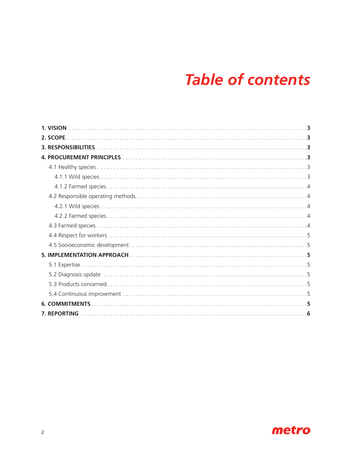# **Table of contents**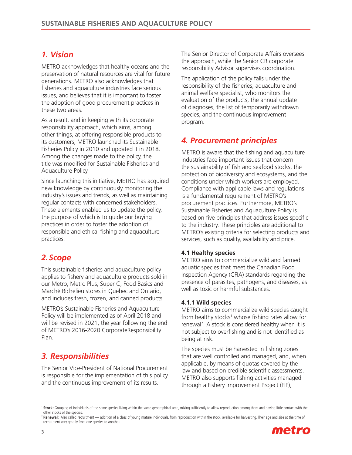## *1. Vision*

METRO acknowledges that healthy oceans and the preservation of natural resources are vital for future generations. METRO also acknowledges that fisheries and aquaculture industries face serious issues, and believes that it is important to foster the adoption of good procurement practices in these two areas.

As a result, and in keeping with its corporate responsibility approach, which aims, among other things, at offering responsible products to its customers, METRO launched its Sustainable Fisheries Policy in 2010 and updated it in 2018. Among the changes made to the policy, the title was modified for Sustainable Fisheries and Aquaculture Policy.

Since launching this initiative, METRO has acquired new knowledge by continuously monitoring the industry's issues and trends, as well as maintaining regular contacts with concerned stakeholders. These elements enabled us to update the policy, the purpose of which is to guide our buying practices in order to foster the adoption of responsible and ethical fishing and aquaculture practices.

## *2.Scope*

This sustainable fisheries and aquaculture policy applies to fishery and aquaculture products sold in our Metro, Metro Plus, Super C, Food Basics and Marché Richelieu stores in Quebec and Ontario, and includes fresh, frozen, and canned products.

METRO's Sustainable Fisheries and Aquaculture Policy will be implemented as of April 2018 and will be revised in 2021, the year following the end of METRO's 2016-2020 CorporateResponsibility Plan.

## *3. Responsibilities*

The Senior Vice-President of National Procurement is responsible for the implementation of this policy and the continuous improvement of its results.

The Senior Director of Corporate Affairs oversees the approach, while the Senior CR corporate responsibility Advisor supervises coordination.

The application of the policy falls under the responsibility of the fisheries, aquaculture and animal welfare specialist, who monitors the evaluation of the products, the annual update of diagnoses, the list of temporarily withdrawn species, and the continuous improvement program.

## *4. Procurement principles*

METRO is aware that the fishing and aquaculture industries face important issues that concern the sustainability of fish and seafood stocks, the protection of biodiversity and ecosystems, and the conditions under which workers are employed. Compliance with applicable laws and regulations is a fundamental requirement of METRO's procurement practices. Furthermore, METRO's Sustainable Fisheries and Aquaculture Policy is based on five principles that address issues specific to the industry. These principles are additional to METRO's existing criteria for selecting products and services, such as quality, availability and price.

#### **4.1 Healthy species**

METRO aims to commercialize wild and farmed aquatic species that meet the Canadian Food Inspection Agency (CFIA) standards regarding the presence of parasites, pathogens, and diseases, as well as toxic or harmful substances.

#### **4.1.1 Wild species**

METRO aims to commercialize wild species caught from healthy stocks<sup>1</sup> whose fishing rates allow for renewal2 . A stock is considered healthy when it is not subject to overfishing and is not identified as being at risk.

The species must be harvested in fishing zones that are well controlled and managed, and, when applicable, by means of quotas covered by the law and based on credible scientific assessments. METRO also supports fishing activities managed through a Fishery Improvement Project (FIP),

<sup>2</sup> Renewal: Also called recruitment — addition of a class of young mature individuals, from reproduction within the stock, available for harvesting. Their age and size at the time of recruitment vary greatly from one species to another.



<sup>&</sup>lt;sup>1</sup> Stock: Grouping of individuals of the same species living within the same geographical area, mixing sufficiently to allow reproduction among them and having little contact with the other stocks of the species.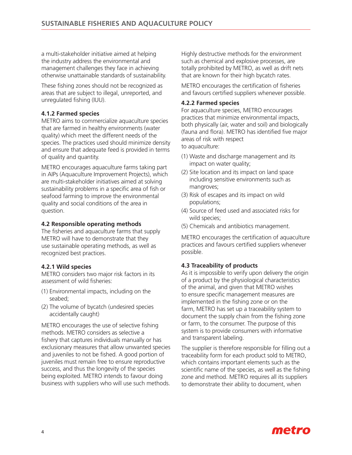a multi-stakeholder initiative aimed at helping the industry address the environmental and management challenges they face in achieving otherwise unattainable standards of sustainability.

These fishing zones should not be recognized as areas that are subject to illegal, unreported, and unregulated fishing (IUU).

#### **4.1.2 Farmed species**

METRO aims to commercialize aquaculture species that are farmed in healthy environments (water quality) which meet the different needs of the species. The practices used should minimize density and ensure that adequate feed is provided in terms of quality and quantity.

METRO encourages aquaculture farms taking part in AIPs (Aquaculture Improvement Projects), which are multi-stakeholder initiatives aimed at solving sustainability problems in a specific area of fish or seafood farming to improve the environmental quality and social conditions of the area in question.

#### **4.2 Responsible operating methods**

The fisheries and aquaculture farms that supply METRO will have to demonstrate that they use sustainable operating methods, as well as recognized best practices.

#### **4.2.1 Wild species**

METRO considers two major risk factors in its assessment of wild fisheries:

- (1) Environmental impacts, including on the seabed;
- (2) The volume of bycatch (undesired species accidentally caught)

METRO encourages the use of selective fishing methods. METRO considers as selective a fishery that captures individuals manually or has exclusionary measures that allow unwanted species and juveniles to not be fished. A good portion of juveniles must remain free to ensure reproductive success, and thus the longevity of the species being exploited. METRO intends to favour doing business with suppliers who will use such methods.

Highly destructive methods for the environment such as chemical and explosive processes, are totally prohibited by METRO, as well as drift nets that are known for their high bycatch rates.

METRO encourages the certification of fisheries and favours certified suppliers whenever possible.

#### **4.2.2 Farmed species**

For aquaculture species, METRO encourages practices that minimize environmental impacts, both physically (air, water and soil) and biologically (fauna and flora). METRO has identified five major areas of risk with respect to aquaculture:

- (1) Waste and discharge management and its impact on water quality;
- (2) Site location and its impact on land space including sensitive environments such as mangroves;
- (3) Risk of escapes and its impact on wild populations;
- (4) Source of feed used and associated risks for wild species;
- (5) Chemicals and antibiotics management.

METRO encourages the certification of aquaculture practices and favours certified suppliers whenever possible.

#### **4.3 Traceability of products**

As it is impossible to verify upon delivery the origin of a product by the physiological characteristics of the animal, and given that METRO wishes to ensure specific management measures are implemented in the fishing zone or on the farm, METRO has set up a traceability system to document the supply chain from the fishing zone or farm, to the consumer. The purpose of this system is to provide consumers with informative and transparent labeling.

The supplier is therefore responsible for filling out a traceability form for each product sold to METRO, which contains important elements such as the scientific name of the species, as well as the fishing zone and method. METRO requires all its suppliers to demonstrate their ability to document, when

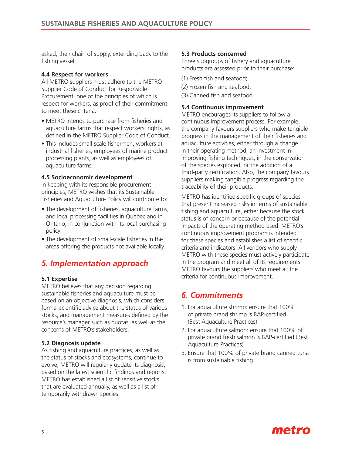asked, their chain of supply, extending back to the fishing vessel.

#### **4.4 Respect for workers**

All METRO suppliers must adhere to the METRO Supplier Code of Conduct for Responsible Procurement, one of the principles of which is respect for workers, as proof of their commitment to meet these criteria:

- METRO intends to purchase from fisheries and aquaculture farms that respect workers' rights, as defined in the METRO Supplier Code of Conduct.
- This includes small-scale fishermen, workers at industrial fisheries, employees of marine product processing plants, as well as employees of aquaculture farms.

#### **4.5 Socioeconomic development**

In keeping with its responsible procurement principles, METRO wishes that its Sustainable Fisheries and Aquaculture Policy will contribute to:

- The development of fisheries, aquaculture farms, and local processing facilities in Quebec and in Ontario, in conjunction with its local purchasing policy;
- The development of small-scale fisheries in the areas offering the products not available locally.

## *5. Implementation approach*

#### **5.1 Expertise**

METRO believes that any decision regarding sustainable fisheries and aquaculture must be based on an objective diagnosis, which considers formal scientific advice about the status of various stocks, and management measures defined by the resource's manager such as quotas, as well as the concerns of METRO's stakeholders.

#### **5.2 Diagnosis update**

As fishing and aquaculture practices, as well as the status of stocks and ecosystems, continue to evolve, METRO will regularly update its diagnosis, based on the latest scientific findings and reports. METRO has established a list of sensitive stocks that are evaluated annually, as well as a list of temporarily withdrawn species.

#### **5.3 Products concerned**

Three subgroups of fishery and aquaculture products are assessed prior to their purchase:

- (1) Fresh fish and seafood;
- (2) Frozen fish and seafood;
- (3) Canned fish and seafood.

#### **5.4 Continuous improvement**

METRO encourages its suppliers to follow a continuous improvement process. For example, the company favours suppliers who make tangible progress in the management of their fisheries and aquaculture activities, either through a change in their operating method, an investment in improving fishing techniques, in the conservation of the species exploited, or the addition of a third-party certification. Also, the company favours suppliers making tangible progress regarding the traceability of their products.

METRO has identified specific groups of species that present increased risks in terms of sustainable fishing and aquaculture, either because the stock status is of concern or because of the potential impacts of the operating method used. METRO's continuous improvement program is intended for these species and establishes a list of specific criteria and indicators. All vendors who supply METRO with these species must actively participate in the program and meet all of its requirements. METRO favours the suppliers who meet all the criteria for continuous improvement.

### *6. Commitments*

- 1. For aquaculture shrimp: ensure that 100% of private brand shrimp is BAP-certified (Best Aquaculture Practices).
- 2. For aquaculture salmon: ensure that 100% of private brand fresh salmon is BAP-certified (Best Aquaculture Practices).
- 3. Ensure that 100% of private brand canned tuna is from sustainable fishing.